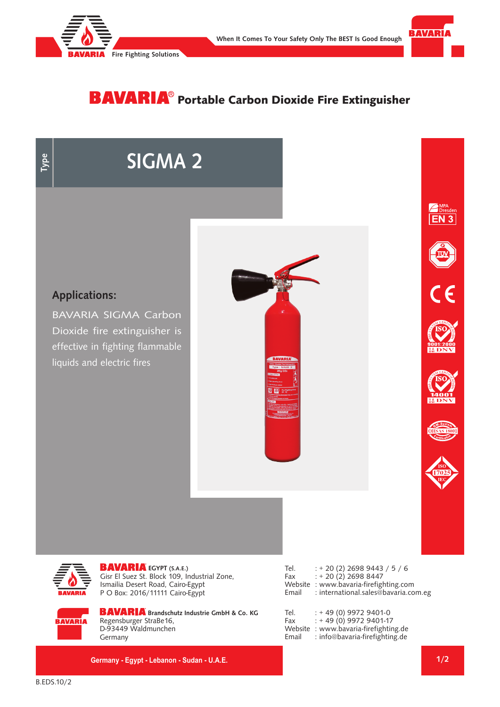



## **BAVARIA**® Portable Carbon Dioxide Fire Extinguisher

# **SIGMA 2**



BAVARIA SIGMA Carbon Dioxide fire extinguisher is effective in fighting flammable liquids and electric fires















**EGYPT (S.A.E.)** Gisr El Suez St. Block 109, Industrial Zone, Ismailia Desert Road, Cairo-Egypt P O Box: 2016/11111 Cairo-Egypt

Tel. : + 20 (2) 2698 9443 / 5 / 6 Fax : + 20 (2) 2698 8447 Website : www.bavaria-firefighting.com<br>Email : international.sales@bavaria.co : international.sales@bavaria.com.eg

**BAVARIA** 

**BAVARIA** Brandschutz Industrie GmbH & Co. KG Regensburger StraBe16, D-93449 Waldmunchen Germany

**Germany - Egypt - Lebanon - Sudan - U.A.E.**

| Tel.    | $: +49(0)99729401-0$           |
|---------|--------------------------------|
| Fax     | $: +49(0)$ 9972 9401-17        |
| Website | : www.bavaria-firefighting.de  |
| Email   | : info@bavaria-firefighting.de |